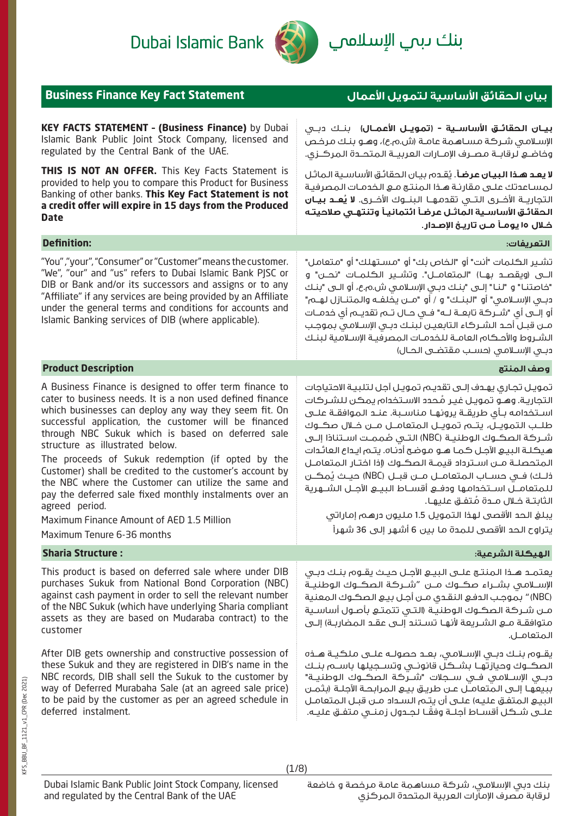بنك ىبم ال<mark>إسلام</mark>ي



Dubai Islamic Bank

| <b>Business Finance Key Fact Statement</b>                                                                                                                                                                                                                                                                                                                                                                                                                                                                                                                                                                                                                     | بيان الحقائق الأساسية لتمويل الأعمال                                                                                                                                                                                                                                                                                                                                                                                                                                                                                                                                                                                                                                                                                                                                              |  |  |
|----------------------------------------------------------------------------------------------------------------------------------------------------------------------------------------------------------------------------------------------------------------------------------------------------------------------------------------------------------------------------------------------------------------------------------------------------------------------------------------------------------------------------------------------------------------------------------------------------------------------------------------------------------------|-----------------------------------------------------------------------------------------------------------------------------------------------------------------------------------------------------------------------------------------------------------------------------------------------------------------------------------------------------------------------------------------------------------------------------------------------------------------------------------------------------------------------------------------------------------------------------------------------------------------------------------------------------------------------------------------------------------------------------------------------------------------------------------|--|--|
| <b>KEY FACTS STATEMENT - (Business Finance)</b> by Dubai<br>Islamic Bank Public Joint Stock Company, licensed and<br>regulated by the Central Bank of the UAE.                                                                                                                                                                                                                                                                                                                                                                                                                                                                                                 | <b>بيـان الحقائـق الأساسـية - (تمويـل الأعمـال)</b> بنــك دبــى<br>الإسلامي شركة مساهمة عامة (ش.م.ع)، وهو بنك مرخص<br>وفاضع لرقابـة مصـرف الإمــارات العربيــة المتحــدة المركــزى.                                                                                                                                                                                                                                                                                                                                                                                                                                                                                                                                                                                               |  |  |
| THIS IS NOT AN OFFER. This Key Facts Statement is<br>provided to help you to compare this Product for Business<br>Banking of other banks. This Key Fact Statement is not<br>a credit offer will expire in 15 days from the Produced<br><b>Date</b>                                                                                                                                                                                                                                                                                                                                                                                                             | <b>لا يعد هذا البيان عرضاً</b> . يُقدم بيان الحقائق الأساسية الماثل<br>لمساعدتك علىى مقارنة هذا المنتج مع الخدمات المصرفية<br>التجاريــة الأ <i>خــر</i> ى الـتــى تقدمـهـــا الـبـنـــوك الأخـــرى. <b>لا يُـعــد بـيــان</b><br>الحقائق الأساسية الماثل عرضأ ائتمانيأ وتنتهى صلاحيته<br>خــلال ١٥ يومــأ مــن تاريــخ الإصــدار.                                                                                                                                                                                                                                                                                                                                                                                                                                                |  |  |
| <b>Definition:</b>                                                                                                                                                                                                                                                                                                                                                                                                                                                                                                                                                                                                                                             | التعريفات:                                                                                                                                                                                                                                                                                                                                                                                                                                                                                                                                                                                                                                                                                                                                                                        |  |  |
| "You","your", "Consumer" or "Customer" means the customer.<br>"We", "our" and "us" refers to Dubai Islamic Bank PJSC or<br>DIB or Bank and/or its successors and assigns or to any<br>"Affiliate" if any services are being provided by an Affiliate<br>under the general terms and conditions for accounts and<br>Islamic Banking services of DIB (where applicable).                                                                                                                                                                                                                                                                                         | تشـير الكـلمات "أنت" أو "الـخاص بك" أو "مسـتهلك" أو "مـتعامل"<br>"خاصتنــا" و "لنــا" إلـــى "بنــك دبــى الإسـلامــى ش.م.ع، أو الـــى "بنــك<br>دبـي الإســلامـي" أو "البنــك" و / أو "مــن يخلفــه والـمتنــازل لهــم"<br>أو إلـــى أي "شــركة تابعـــة لـــه" فـــى حـــال تـــم تقديـــم أي خدمـــات<br>مــن قبــل أحــد الشــركاء التابعيــن لبنــك دبــي الإســلامـي بموجـب<br>الشروط والأحكام العامـة للخدمـات المصرفيـة الإسـلامية لبنـك<br>دبـى الإسـلامـى (حسـب مقتضـى الحـال)                                                                                                                                                                                                                                                                                          |  |  |
| <b>Product Description</b>                                                                                                                                                                                                                                                                                                                                                                                                                                                                                                                                                                                                                                     | وصف المنتج                                                                                                                                                                                                                                                                                                                                                                                                                                                                                                                                                                                                                                                                                                                                                                        |  |  |
| A Business Finance is designed to offer term finance to<br>cater to business needs. It is a non used defined finance<br>which businesses can deploy any way they seem fit. On<br>successful application, the customer will be financed<br>through NBC Sukuk which is based on deferred sale<br>structure as illustrated below.<br>The proceeds of Sukuk redemption (if opted by the<br>Customer) shall be credited to the customer's account by<br>the NBC where the Customer can utilize the same and<br>pay the deferred sale fixed monthly instalments over an<br>agreed period.<br>Maximum Finance Amount of AED 1.5 Million<br>Maximum Tenure 6-36 months | تمويـل تجـاري يهـدف إلـى تقديـم تمويـل آجل لتلبيـة الاحتياجات<br>التجارية. وهـو تمويـل غيـر مُـحدد الاسـتخدام يمكن للشـركات<br>اســتخدامـه بـأى طريقــة يرونهــا مـناســبة. عنــد الـمـوافقــة علــى<br>طلـب التمويـل، يتـم تمويـل المتعامــل مــن خــلال صكــوك<br>شـركة الصكــوك الوطنيــة (NBC) التــى صُممـت اســتنادًا إلــى<br>هيكلـة البيـع الآجـل كـمـا هــو مـوضـح أدنـاه. يـتـم ايـداع الـعائـدات<br>المتحصلـة مــن اسـترداد قيمــة الصكــوك (إذا اختـار المتعامــل<br>ذلـك) فــى حســاب الـمتعامــل مـــن قبـــل (NBC) حيــث يُمكـــن<br>للمتعامــل اســتخدامها ودفــع أقســاط البيـــع الآجــل الشـــهرية<br>الثابتــة فــلال مــدة مُـتفــق علـيهــا.<br>يبلغ الحد الأقصى لهذا التمويل 1.5 مليون درهم إماراتي<br>يتراوح الحد الأقصى للمدة ما بين 6 أشهر إلى 36 شهراً |  |  |
| <b>Sharia Structure:</b>                                                                                                                                                                                                                                                                                                                                                                                                                                                                                                                                                                                                                                       | الهيكلة الشرعية:                                                                                                                                                                                                                                                                                                                                                                                                                                                                                                                                                                                                                                                                                                                                                                  |  |  |
| This product is based on deferred sale where under DIB<br>purchases Sukuk from National Bond Corporation (NBC)<br>against cash payment in order to sell the relevant number<br>of the NBC Sukuk (which have underlying Sharia compliant<br>assets as they are based on Mudaraba contract) to the<br>customer                                                                                                                                                                                                                                                                                                                                                   | يعتمـد هـذا الـمنتـج علــى الـبيــع الآجــل حيــث يقــوم بنــك دبــى<br>الإســلامـي بشــراء صكــوك مـــن "شــركة الصكــوك الـوطنيــة<br>(NBC) " بموجب الدفع النقدى مـن أجـل بيـع الصكـوك المعنية<br>مـن شـركة الصكـوك الوطنيـة (التـى تتمتـع بأصـول أساسـية<br>المتعامـل.                                                                                                                                                                                                                                                                                                                                                                                                                                                                                                         |  |  |
| After DIB gets ownership and constructive possession of<br>these Sukuk and they are registered in DIB's name in the<br>NBC records, DIB shall sell the Sukuk to the customer by<br>way of Deferred Murabaha Sale (at an agreed sale price)<br>to be paid by the customer as per an agreed schedule in<br>deferred instalment.                                                                                                                                                                                                                                                                                                                                  | يقــوم بنــك دبــى الإســلامـى، بعــد حصولــه علـــى مـلكـيــة هــذه<br>الصكــوك وحيازتهـا بشــكل قانونــى وتســجيلها باســم بنــك<br>دبـي الإســلامـي فـي ســجلات "شــركة الصكــوك الوطنيــة"<br>ببيعها إلـى المتعامـل عـن طريـق بيـع المرابحـة الآجلـة (بثمـن<br>البيـــو الـمتفــق عليـه) علـــى أن يتــم الـسـداد مــن قبــل الـمتعامــل<br>علــى شــكل أقســاط آجلــة وفقَــا لجــدول زمنــى مـتفــق عليــه.                                                                                                                                                                                                                                                                                                                                                                 |  |  |

(1/8)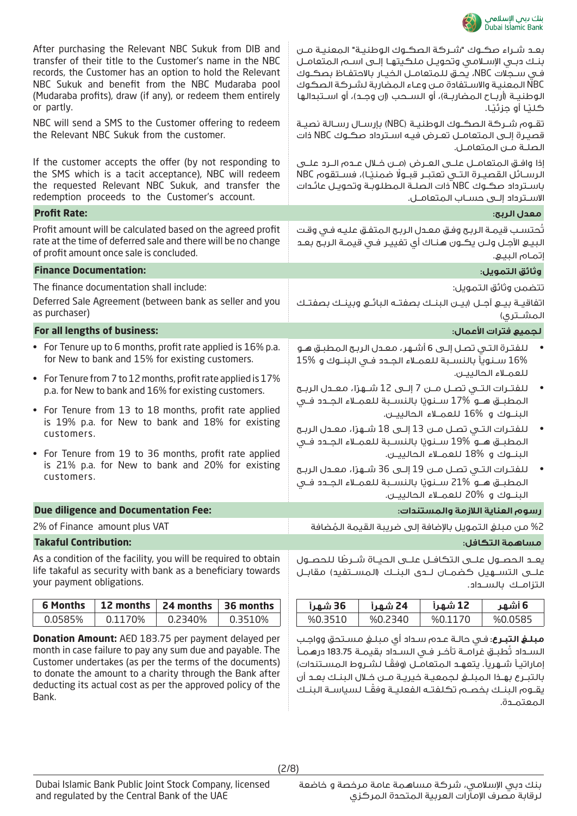

| <b>Donation Amount:</b> AED 183.75 per payment delayed per<br>month in case failure to pay any sum due and payable. The<br>Customer undertakes (as per the terms of the documents)                                                                                                                            |                                                |           | <b>مبلغ التبرع</b> : فـى حالـة عـدم سـداد أى مبلـغ مسـتحق وواجـب<br>السـداد تُطبـق غرامـة تأخـر فـى السـداد بقيمـة 183.75 درهـمـأ<br>اماراتياً شهرياً. يتعهد المتعامل (وفقًا لشروط المسـتندات)                                                                                                                  |                                                                                                                                                                                                      |                                                                              |                                                       |                                    |
|---------------------------------------------------------------------------------------------------------------------------------------------------------------------------------------------------------------------------------------------------------------------------------------------------------------|------------------------------------------------|-----------|-----------------------------------------------------------------------------------------------------------------------------------------------------------------------------------------------------------------------------------------------------------------------------------------------------------------|------------------------------------------------------------------------------------------------------------------------------------------------------------------------------------------------------|------------------------------------------------------------------------------|-------------------------------------------------------|------------------------------------|
| 0.0585%                                                                                                                                                                                                                                                                                                       | 0.1170%                                        | 0.2340%   | 0.3510%                                                                                                                                                                                                                                                                                                         | %0.3510                                                                                                                                                                                              | %0.2340                                                                      | %0.1170                                               | %0.0585                            |
| <b>6 Months</b>                                                                                                                                                                                                                                                                                               | 12 months                                      | 24 months | 36 months                                                                                                                                                                                                                                                                                                       | 36 شهرأ                                                                                                                                                                                              | 24 شهرأ                                                                      | 12 شهراً                                              | 6 أشهر                             |
| As a condition of the facility, you will be required to obtain<br>life takaful as security with bank as a beneficiary towards<br>your payment obligations.                                                                                                                                                    |                                                |           | يعـد الحصــول علـــى التكافــل علـــى الحيــاة شــرطًا للحصــول<br>علـــى التســـهيل كضمــان لـــدى البنــك (الـمســتفيد) مقابــل                                                                                                                                                                               |                                                                                                                                                                                                      |                                                                              | التزامك بالسـداد.                                     |                                    |
| <b>Takaful Contribution:</b>                                                                                                                                                                                                                                                                                  |                                                |           |                                                                                                                                                                                                                                                                                                                 |                                                                                                                                                                                                      |                                                                              |                                                       | مساهمة التكافل:                    |
|                                                                                                                                                                                                                                                                                                               | 2% of Finance amount plus VAT                  |           |                                                                                                                                                                                                                                                                                                                 |                                                                                                                                                                                                      |                                                                              | 2% من مبلغ التمويل بالإضافة إلى ضريبة القيمة المُضافة |                                    |
|                                                                                                                                                                                                                                                                                                               | <b>Due diligence and Documentation Fee:</b>    |           |                                                                                                                                                                                                                                                                                                                 |                                                                                                                                                                                                      |                                                                              | رسوه العناية اللازمة والمستندات:                      |                                    |
| • For Tenure from 19 to 36 months, profit rate applied<br>is 21% p.a. for New to bank and 20% for existing<br>customers.                                                                                                                                                                                      |                                                |           | للفتـرات التـى تصـل مــن 19 إلـى 36 شــهرْا، معـدل الربـح<br>المطبـــق هـــو %21 ســنويًا بالنســبة للعمــلاء الجــدد فــى                                                                                                                                                                                      |                                                                                                                                                                                                      | البنــوك و %18 للعمــلاء الحالييــن.<br>البنــوك و %20 للعمــلاء الحالييــن. |                                                       |                                    |
| • For Tenure from 13 to 18 months, profit rate applied<br>is 19% p.a. for New to bank and 18% for existing<br>customers.                                                                                                                                                                                      |                                                |           |                                                                                                                                                                                                                                                                                                                 | للفتـرات التـى تصـل مـن 13 إلـى 18 شـهرًا، معـدل الربـح<br>المطبـــق هـــو %19 ســـنويًا بالنســبة للعمــلاء الجــدد فــى                                                                            |                                                                              | البنــوك و %16 للعمــلاء الحالييــن.                  |                                    |
| for New to bank and 15% for existing customers.<br>• For Tenure from 7 to 12 months, profit rate applied is 17%<br>p.a. for New to bank and 16% for existing customers.                                                                                                                                       |                                                |           | للعمـلاء الحالييـن.<br>للفتــرات التـــى تصــل مـــن 7 إلـــى 12 شــهرْا، معــدل الربــح<br>المطبـــق هـــو %17 ســـنويًا بالنســبة للعمــلاء الجــدد فــى                                                                                                                                                      |                                                                                                                                                                                                      |                                                                              |                                                       |                                    |
|                                                                                                                                                                                                                                                                                                               |                                                |           | • For Tenure up to 6 months, profit rate applied is 16% p.a.                                                                                                                                                                                                                                                    | للفترة التي تصل إلى 6 أشهر، معدل الربح المطبق هـو<br>16% سنوياً بالنسبة للعملاء الجدد فى البنـوك و %15                                                                                               |                                                                              |                                                       |                                    |
|                                                                                                                                                                                                                                                                                                               | For all lengths of business:                   |           |                                                                                                                                                                                                                                                                                                                 |                                                                                                                                                                                                      |                                                                              |                                                       | ً لجميع فترات الأعمال:             |
| as purchaser)                                                                                                                                                                                                                                                                                                 | The finance documentation shall include:       |           | Deferred Sale Agreement (between bank as seller and you                                                                                                                                                                                                                                                         | اتفاقيـة بيــع آجــل (بيــن البنــك بصفتـه البائـع وبينـك بصفتـك                                                                                                                                     |                                                                              |                                                       | تتضمن وثائق التمويل:<br>المشــترى) |
| <b>Finance Documentation:</b>                                                                                                                                                                                                                                                                                 |                                                |           |                                                                                                                                                                                                                                                                                                                 |                                                                                                                                                                                                      |                                                                              |                                                       | وثائق التمويل:                     |
|                                                                                                                                                                                                                                                                                                               | of profit amount once sale is concluded.       |           | Profit amount will be calculated based on the agreed profit<br>rate at the time of deferred sale and there will be no change                                                                                                                                                                                    | تُحتسب قيمـة الربـح وفـق معـدل الربـح المتفـق عليـه فـى وقـت                                                                                                                                         |                                                                              |                                                       | إتمام البيع.                       |
| <b>Profit Rate:</b>                                                                                                                                                                                                                                                                                           |                                                |           |                                                                                                                                                                                                                                                                                                                 |                                                                                                                                                                                                      |                                                                              |                                                       | معدل الربح:                        |
|                                                                                                                                                                                                                                                                                                               | redemption proceeds to the Customer's account. |           | If the customer accepts the offer (by not responding to<br>the SMS which is a tacit acceptance), NBC will redeem<br>the requested Relevant NBC Sukuk, and transfer the                                                                                                                                          | إذا وافـق المتعامــل علــى العــرض (مــن خــلال عــدم الــرد علــى<br>الرسـائل القصيـرة التـى تعتبـر قبـولًا ضمنيـًا)، فسـتقوم NBC<br>باسـترداد صكـوك NBC ّذات الـصـلـة الـمـطلـوبـة وتحويـل عائـدات |                                                                              | الاسـترداد إلـى حسـاب المتعامـل.                      |                                    |
|                                                                                                                                                                                                                                                                                                               | the Relevant NBC Sukuk from the customer.      |           | NBC will send a SMS to the Customer offering to redeem                                                                                                                                                                                                                                                          | تقـوم شـركة الصكـوك الوطنيـة (NBC) بإرسـال رسـالة نصيـة<br>قصيرة إلـى المتعامـل تعـرض فيـه اسـترداد صكـوك NBC ذات                                                                                    |                                                                              |                                                       | الصلـة مـن المتعامـل.              |
| After purchasing the Relevant NBC Sukuk from DIB and<br>transfer of their title to the Customer's name in the NBC<br>records, the Customer has an option to hold the Relevant<br>NBC Sukuk and benefit from the NBC Mudaraba pool<br>(Mudaraba profits), draw (if any), or redeem them entirely<br>or partly. |                                                |           | بعد شـراء صكـوك "شـركة الصكـوك الوطنيـة" المعنيـة مـن<br>بنك دبى الإسلامي وتحويل ملكيتها إلى اسم المتعامل<br>في سـجلات NBC، يـُحـق لـلـمـتعامــل الـخـيـار بالاحتفـاظ بـصـكــوك<br>NBC المعنية والاستفادة مـن وعـاء المضاربة لشـركة الصكوك<br>الوطنيـة (أربـاح المضاربـة)، أو الســحب (إن وجـد)، أو اســتبدالها |                                                                                                                                                                                                      |                                                                              | كليًا أو جزئيًا.                                      |                                    |

إماراتيـأ شـهريأ. يتعهـد المتعامـل (وفقًـا لشـروط المسـتندات) بالتبــرع بهــذا المبلــغ لجمعيــة خيريــة مــن خــال البنــك بعــد أن ً يقــوم البنــك بخصــم تكلفتــه الفعليــة وفقــا لسياســة البنــك المعتمــدة.

to donate the amount to a charity through the Bank after deducting its actual cost as per the approved policy of the

Bank.

(2/8)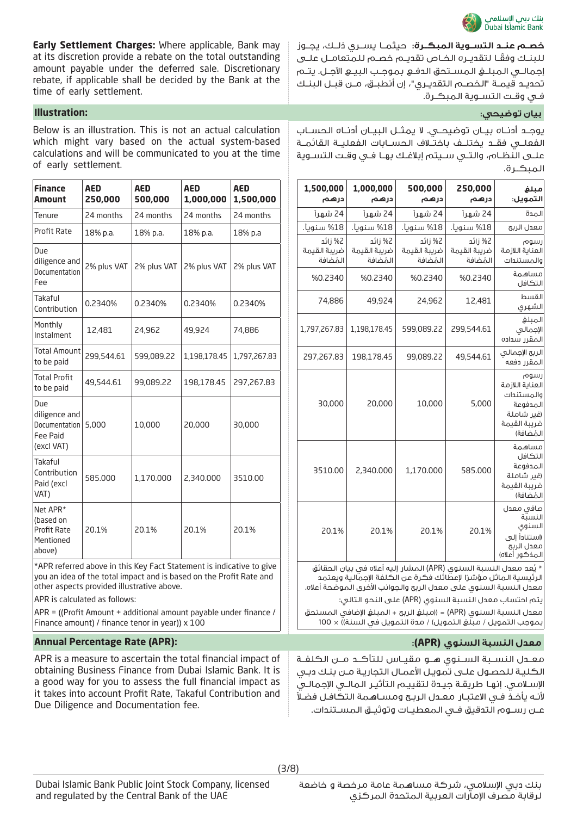

**Early Settlement Charges:** Where applicable, Bank may at its discretion provide a rebate on the total outstanding amount payable under the deferred sale. Discretionary rebate, if applicable shall be decided by the Bank at the time of early settlement.

Below is an illustration. This is not an actual calculation which might vary based on the actual system-based calculations and will be communicated to you at the time of early settlement.

| <b>Finance</b><br><b>Amount</b>                                 | <b>AED</b><br>250,000 | <b>AED</b><br>500,000                                                         | <b>AED</b><br>1,000,000 | <b>AED</b><br>1,500,000 |
|-----------------------------------------------------------------|-----------------------|-------------------------------------------------------------------------------|-------------------------|-------------------------|
| Tenure                                                          | 24 months             | 24 months                                                                     | 24 months               | 24 months               |
| <b>Profit Rate</b>                                              | 18% p.a.              | 18% p.a.                                                                      | 18% p.a.                | 18% p.a                 |
| Due<br>diligence and<br>Documentation<br>Fee                    | 2% plus VAT           | 2% plus VAT                                                                   | 2% plus VAT             | 2% plus VAT             |
| Takaful<br>Contribution                                         | 0.2340%               | 0.2340%                                                                       | 0.2340%                 | 0.2340%                 |
| Monthly<br>Instalment                                           | 12,481                | 24,962                                                                        | 49,924                  | 74,886                  |
| <b>Total Amount</b><br>to be paid                               | 299,544.61            | 599,089.22                                                                    | 1,198,178.45            | 1,797,267.83            |
| <b>Total Profit</b><br>to be paid                               | 49,544.61             | 99,089.22                                                                     | 198,178.45              | 297,267.83              |
| Due<br>diligence and<br>Documentation<br>Fee Paid<br>(excl VAT) | 5,000                 | 10,000                                                                        | 20,000                  | 30,000                  |
| Takaful<br>Contribution<br>Paid (excl<br>VAT)                   | 585.000               | 1,170.000                                                                     | 2,340.000               | 3510.00                 |
| Net APR*<br>(based on<br>Profit Rate<br>Mentioned<br>above)     | 20.1%                 | 20.1%<br>*APR referred above in this Key Fact Statement is indicative to give | 20.1%                   | 20.1%                   |

you an idea of the total impact and is based on the Profit Rate and other aspects provided illustrative above.

APR is calculated as follows:

APR = ((Profit Amount + additional amount payable under finance / Finance amount) / finance tenor in year)) x 100

# **Annual Percentage Rate (APR): :)APR( السنوي النسبة معدل**

APR is a measure to ascertain the total financial impact of obtaining Business Finance from Dubai Islamic Bank. It is a good way for you to assess the full financial impact as it takes into account Profit Rate, Takaful Contribution and Due Diligence and Documentation fee.

**خصــم عنــد التســوية المبكــرة:** حيثمــا يســري ذلــك، يجــوز ً للبنــك وفقــا لتقديــره الخــاص تقديــم خصــم للمتعامــل علــى إجمالــي المبلــغ المســتحق الدفــع بموجــب البيــع اآلجــل. يتــم تحديــد قيمــة "الخصــم التقديــري"، إن أنطبــق، مــن قبــل البنــك فــي وقــت التســوية المبكــرة.

# **بيان توضيحي: :Illustration**

يوجــد أدنــاه بيــان توضيحــي. ال يمثــل البيــان أدنــاه الحســاب الفعلــي فقــد يختلــف باختــاف الحســابات الفعليــة القائمــة علــى النظــام، والتــي ســيتم إبالغــك بهــا فــي وقــت التســوية المبكــرة.

| 1,000,000<br>درهم                   | 500,000<br>درهم                       | 250,000<br>درهم                     | مبلغ<br>التمويل:                                                                             |
|-------------------------------------|---------------------------------------|-------------------------------------|----------------------------------------------------------------------------------------------|
| 24 شهر آ                            | 24 شهر آ                              | 24 شهر آ                            | المدة                                                                                        |
| 18% سنوىأ.                          | 18% سنوىأ.                            | 18% سنوىأ.                          | معدل الريح                                                                                   |
| 2% زائد<br>ضريبة القيمة<br>المُضافة | j %2 زائد<br>ضريبة القيمة<br>المُضافة | 2% زائد<br>ضريبة القيمة<br>المُضافة | رسوم<br>العناية اللازمة<br>والمستندات                                                        |
| %0.2340                             | %0.2340                               | %0.2340                             | مساهمة<br>التكافل                                                                            |
| 49,924                              | 24,962                                | 12,481                              | القسط<br>الشهرى                                                                              |
| 1,198,178.45                        | 599,089.22                            | 299,544.61                          | المىلغ<br>الإجمالى<br>المقرر سداده                                                           |
| 198,178.45                          | 99,089.22                             | 49,544.61                           | الربح الإجمالى<br>المقرر دفعه                                                                |
| 20,000                              | 10,000                                | 5,000                               | رسوم<br>العناية اللازمة<br>والمستندات<br>المدفوعة<br>(غىر شاملة<br>ضربية القيمة<br>المُضافة) |
| 2,340.000                           | 1,170.000                             | 585.000                             | مساهمة<br>التكافل<br>المدفوعة<br>(غير شاملة<br>ضربية القيمة<br>المُضافة)                     |
| 20.1%                               | 20.1%                                 | 20.1%                               | صافى معدل<br>النستة<br>السنوى<br>(استنادأ إلى<br>معدل الربح<br>المذكور أعلاه)                |
|                                     |                                       |                                     | * يُعد معدل النسبة السنوى (APR) المشار إليه أعلاه في بيان الحقائق                            |

لرئيسية الماثل مؤشرًا لإعطائك فكرة عن الكلفة الإجمالية ويعتمد معدل النسبة السنوي على معدل الربح والجوانب األخرى الموضحة أعاله. يتم احتساب معدل النسبة السنوي )APR )على النحو التالي:

معدل النسبة السنوي (APR) = ((مبلغ الربح + المبلغ الإضافي المستحق بموجب التمويل / مبلغ التمويل) / مدة التمويل في السنة)) × 100

معــدل النســبة الســنوي هــو مقيــاس للتأكــد مــن الكلفــة الكليـة للحصـول علـى تمويـل األعمـال التجاريـة مـن بنـك دبـي اإلسـامي. إنهـا طريقـة جيـدة لتقييـم التأثيـر المالـي اإلجمالـي ألنـه يأخـذ فـي االعتبـار معـدل الربـح ومسـاهمة التكافـل فضـا عــن رســوم التدقيق فــي المعطيــات وتوثيــق المســتندات.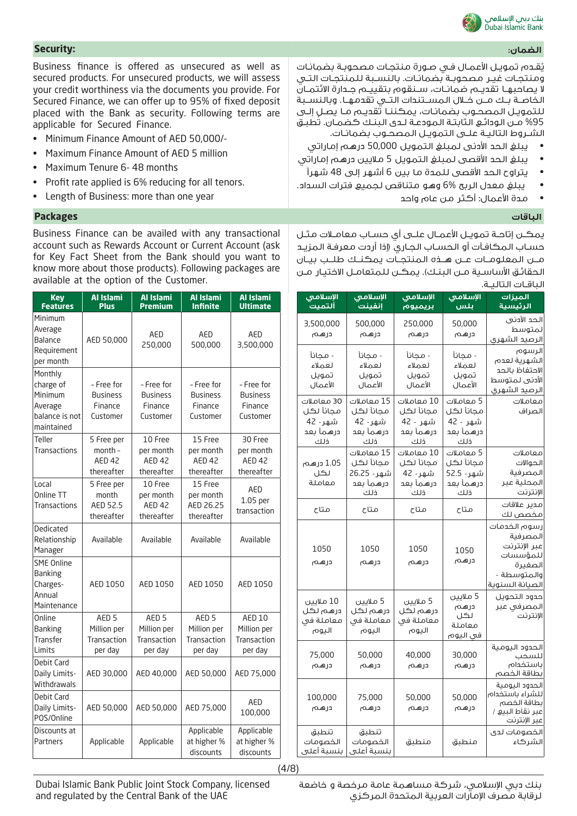

يُقـدم تمويـل الأعمـال فـي صـورة منتجـات مصحوبـة بضمانـات ومنتجـات غيـر مصحوبـة بضمانـات. بالنسـبة للمنتجـات التـي ال يصاحبهــا تقديــم ضمانــات، ســنقوم بتقييــم جــدارة االئتمــان الخاصــة بــك مــن خــال المســتندات التــي تقدمهــا. وبالنســبة للتمويـل المصحـوب بضمانـات، يمكننـا تقديـم مـا يصـل إلـى 95% مـن الودائـع الثابتـة المودعـة لـدى البنـك كضمـان. تطبـق الشـروط التاليـة علـى التمويـل المصحـوب بضمانـات.

• يبلغ الحد األدنى لمبلغ التمويل 50,000 درهم إماراتي

- يبلغ الحد الأقصى لمبلغ التمويل 5 ملايين درهم إماراتي
	- يتراوح الحد األقصى للمدة ما بين 6 أشهر إلى 48 شهرًا
- يبلغ معدل الربح 6% وهو متناقص لجميع فترات السداد.
	- مدة األعمال: أكثر من عام واحد

يمكـن إتاحـة تمويـل األعمـال علـى أي حسـاب معامـات مثـل حسـاب المكافـآت أو الحسـاب الجـاري )إذا أردت معرفـة المزيـد مــن المعلومــات عــن هــذه المنتجــات يمكنــك طلــب بيــان الحقائـق الأساسـية مـن البنـك). يمكـن للمتعامـل الاختيـار مـن الباقــات التاليــة.

| انتاقات انتانا                                          |                                                            |                                                         |                                                          |                                                                                                   |
|---------------------------------------------------------|------------------------------------------------------------|---------------------------------------------------------|----------------------------------------------------------|---------------------------------------------------------------------------------------------------|
| الإسلامي<br>ألتميت                                      | الإسلامي<br>إنفينت                                         | الإسلامت <del>ي</del><br>بريميوم                        | <u>الإسلامتي</u><br>بلس                                  | الميزات<br>الرئيسية                                                                               |
| 3,500,000<br>درهم                                       | 500,000<br>درهم                                            | 250,000<br>درهم                                         | 50,000<br>درهم                                           | الحد الأدنى<br>لمتوسط<br>الرصيد الشهرى                                                            |
| - محانآ<br>لعملاء<br>تمويل<br>الأعمال                   | - مجانأ<br>لعملاء<br>تمويل<br>الأعمال                      | - مجانأ<br>لعملاء<br>تمويل<br>الأعمال                   | - محانأ<br>لعملاء<br>تمويل<br>الأعمال                    | الرسوم<br>الشهرية لعدم<br>الاحتفاظ بالحد<br>الأدنى لمتوسط<br>الرصيد الشهرى                        |
| 30 معاملات<br>مجانأ لكل<br>شهر - 42<br>درهمأ بعد<br>ذلك | 15 معاملات<br>مجانأ لكل<br>شهر - 42<br>درهمأ بعد<br>ذلك    | 10 معاملات<br>مجانأ لكل<br>شهر - 42<br>درهمأ بعد<br>ذلك | 5 معاملات<br>مجانأ لكل<br>شهر - 42<br>درهمأ بعد<br>ذلك   | معاملات<br>الصراف                                                                                 |
| 1.05 درهم<br>لكل<br>معاملة                              | 15 معاملات<br>مجانأ لكل<br>شهر - 26.25<br>درهمأ بعد<br>ذلك | 10 معاملات<br>مجانأ لكل<br>شهر - 42<br>درهمأ بعد<br>ذلك | 5 معاملات<br>مجانأ لكل<br>شهر - 52.5<br>درهمأ بعد<br>ذلك | معاملات<br>الحوالات<br>المصرفية<br>المحلية عبر<br>الإنترنت                                        |
| متاح                                                    | متاح                                                       | متاح                                                    | متاح                                                     | مدير علاقات<br>مخصص لك                                                                            |
| 1050<br>درهم                                            | 1050<br>درهم                                               | 1050<br>درهم                                            | 1050<br>درهم                                             | رسوم الخدمات<br>المصرفية<br>عبر الإنترنت<br>للمؤسسات<br>الصفيرة<br>والمتوسطة -<br>الصيانة السنوية |
| 10 ملايىن<br>درهم لکل<br>معاملة فى<br>اليوم             | 5 ملايين<br>درهم لکل<br>معاملة فى<br>اليوم                 | 5 ملايىن<br>درهم لکل<br>معاملة فى<br>اليوم              | 5 ملايين<br>درهم<br>لڪل<br>معاملة<br>في اليوم            | حدود التحويل<br>المصرفى عبر<br>الإنترنت                                                           |
| 75,000<br>درهم                                          | 50,000<br>درهم                                             | 40,000<br>درهم                                          | 30,000<br>درهم                                           | الحدود اليومية<br>للسحب<br>باستخدام<br>.<br>بطاقة الخصم                                           |
| 100,000<br>درهم                                         | 75,000<br>درهم                                             | 50,000<br>درهم                                          | 50,000<br>درهم                                           | الحدود البومية<br>للشراء باستخداه<br>بطاقة الخصم<br>عبر نقاط البيع /<br>عبر الإنترنت              |
| تنطبق<br>الخصومات<br>بنسبة أعلى                         | تنطبق<br>الخصومات<br>بنسبة أعلى                            | منطبق                                                   | منطبق                                                    | الخصومات لدى<br>الشركاء                                                                           |

**الضمان: :Security**

Business finance is offered as unsecured as well as secured products. For unsecured products, we will assess your credit worthiness via the documents you provide. For Secured Finance, we can offer up to 95% of fixed deposit placed with the Bank as security. Following terms are applicable for Secured Finance.

- Minimum Finance Amount of AED 50,000/-
- Maximum Finance Amount of AED 5 million
- Maximum Tenure 6- 48 months
- Profit rate applied is 6% reducing for all tenors.
- Length of Business: more than one year

# **الباقات Packages**

Business Finance can be availed with any transactional account such as Rewards Account or Current Account (ask for Key Fact Sheet from the Bank should you want to know more about those products). Following packages are available at the option of the Customer.

| <b>Key</b><br><b>Features</b>                                              | Al Islami<br><b>Plus</b>                                  | Al Islami<br><b>Premium</b>                               | Al Islami<br><b>Infinite</b>                              | <b>Al Islami</b><br><b>Ultimate</b>                    |
|----------------------------------------------------------------------------|-----------------------------------------------------------|-----------------------------------------------------------|-----------------------------------------------------------|--------------------------------------------------------|
| Minimum<br>Average<br>Balance<br>Requirement<br>per month                  | AED 50,000                                                | AED<br>AED<br>250,000<br>500,000                          |                                                           | AED<br>3,500,000                                       |
| Monthly<br>charge of<br>Minimum<br>Average<br>balance is not<br>maintained | - Free for<br><b>Business</b><br>Finance<br>Customer      | - Free for<br><b>Business</b><br>Finance<br>Customer      | - Free for<br><b>Business</b><br>Finance<br>Customer      | - Free for<br><b>Business</b><br>Finance<br>Customer   |
| Teller<br><b>Transactions</b>                                              | 5 Free per<br>month -<br><b>AED 42</b><br>thereafter      | 10 Free<br>per month<br>AED <sub>42</sub><br>thereafter   | 15 Free<br>per month<br><b>AED 42</b><br>thereafter       | 30 Free<br>per month<br><b>AED 42</b><br>thereafter    |
| Local<br>Online TT<br><b>Transactions</b>                                  | 5 Free per<br>month<br>AED 52.5<br>thereafter             | 10 Free<br>per month<br><b>AED 42</b><br>thereafter       | 15 Free<br>per month<br>AED 26.25<br>thereafter           | AED<br>1.05 per<br>transaction                         |
| Dedicated<br>Relationship<br>Manager                                       | Available                                                 | Available                                                 | Available                                                 | Available                                              |
| <b>SME Online</b><br>Banking<br>Charges-<br>Annual<br>Maintenance          | AED 1050                                                  | AED 1050                                                  | AED 1050                                                  | AED 1050                                               |
| Online<br><b>Banking</b><br>Transfer<br>l imits                            | AED <sub>5</sub><br>Million per<br>Transaction<br>per day | AED <sub>5</sub><br>Million per<br>Transaction<br>per day | AED <sub>5</sub><br>Million per<br>Transaction<br>per day | <b>AED 10</b><br>Million per<br>Transaction<br>per day |
| Debit Card<br>Daily Limits-<br>Withdrawals                                 | AED 30,000                                                | AED 40,000                                                | AED 50,000                                                | AED 75,000                                             |
| Debit Card<br>Daily Limits-<br>POS/Online                                  | AED 50,000                                                | AED 50,000                                                | AED 75,000                                                | AED<br>100,000                                         |
| Discounts at<br>Partners                                                   | Applicable                                                | Applicable                                                | Applicable<br>at higher %<br>discounts                    | Applicable<br>at higher %<br>discounts                 |

(4/8)

Dubai Islamic Bank Public Joint Stock Company, licensed and regulated by the Central Bank of the UAE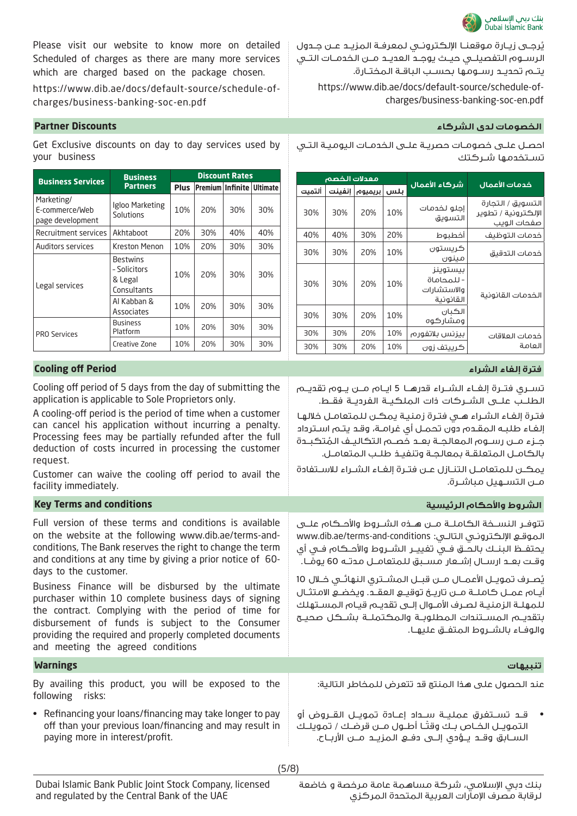

يُرجــى زيــارة موقعنــا الإلكترونــي لـمعرفـة الـمزيــد عــن جــدول الرســوم التفصيلــي حيــث يوجــد العديــد مــن الخدمــات التــي يتــم تحديــد رســومها بحســب الباقــة المختــارة.

https://www.dib.ae/docs/default-source/schedule-ofcharges/business-banking-soc-en.pdf

### **الخصومات لدى الشركاء Discounts Partner**

احصـل علـى خصومـات حصريـة علـى الخدمـات اليوميـة التـي تســتخدمــا شــر كـتك

|        | معدلات الخصم |         |     | شركاء الأعمال                                       | خدمات الأعمال                                           |
|--------|--------------|---------|-----|-----------------------------------------------------|---------------------------------------------------------|
| ألتميت | انفىنت       | بريميوه | ىلس |                                                     |                                                         |
| 30%    | 30%          | 20%     | 10% | إحلو لخدمات<br>التسويق                              | التسويق / التحارة<br>الإلكترونية / تطوير<br>صفحات الوىب |
| 40%    | 40%          | 30%     | 20% | أخطبوط                                              | خدمات التوظيف                                           |
| 30%    | 30%          | 20%     | 10% | كرىستون<br>مىنون                                    | خدمات التدقيق                                           |
| 30%    | 30%          | 20%     | 10% | بىستوىنز<br>- للمحاماة<br>والاستشار ات<br>القانونية | الخدمات القانونية                                       |
| 30%    | 30%          | 20%     | 10% | الكىان<br>ومشار كوه                                 |                                                         |
| 30%    | 30%          | 20%     | 10% | بيزنس بلاتفور م                                     | خدمات العلاقات                                          |
| 30%    | 30%          | 20%     | 10% | ڪرپيتف زون                                          | العامة                                                  |

تســري فتــرة إلغــاء الشــراء قدرهــا 5 ايــام مــن يــوم تقديــم الطلــب علــى الشــركات ذات الملكيــة الفرديــة فقــط.

فتـرة إلغـاء الشـراء هـي فتـرة زمنيـة يمكـن للمتعامـل خاللهـا إلغـاء طلبـه المقـدم دون تحمـل أي غرامـة، وقـد يتـم اسـترداد ُ جــزء مــن رســوم المعالجــة بعــد خصــم التكاليــف المتكبــدة بالكامــل المتعلقــة بمعالجــة وتنفيــذ طلــب المتعامــل.

يمكــن للمتعامــل التنــازل عــن فتــرة إلغــاء الشــراء لالســتفادة مــن التســهيل مباشــرة.

## **Key Terms and conditions الرئيسية واألحكام الشروط**

تتوفــر النســخة الكاملــة مــن هــذه الشــروط واألحــكام علــى www.dib.ae/terms-and-conditions :التالـي اإللكترونـي الموقـع يحتفــظ البنــك بالحــق فــي تغييــر الشــروط واألحــكام فــي أي وقـت بعــد ارســال إشــعار مســبق لـلمتعامــل مدتــه 60 يومًــا. ً

يُصــرف تمويــل الأعمــال مــن قبــل المشــتري النهائــي خــلال 10 أيــام عمــل كاملــة مــن تاريــخ توقيــع العقــد. ويخضــع االمتثــال للمهلــة الزمنيــة لصــرف األمــوال إلــى تقديــم قيــام المســتهلك بتقديــم المســتندات المطلوبــة والمكتملــة بشــكل صحيــح والوفــاء بالشــروط المتفــق عليهــا.

عند الحصول على هذا المنتج قد تتعرض للمخاطر التالية:

• قــد تســتغرق عمليــة ســداد إعــادة تمويــل القــروض أو التمويــل الخــاص بــك وقتــا أطــول مــن قرضـك / تمويلــك الســابق وقــد يــؤدي إلــى دفــع المزيــد مــن األربــاح.

Please visit our website to know more on detailed Scheduled of charges as there are many more services which are charged based on the package chosen.

https://www.dib.ae/docs/default-source/schedule-ofcharges/business-banking-soc-en.pdf

Get Exclusive discounts on day to day services used by your business

| <b>Business Services</b>                         | <b>Business</b>                                           | <b>Discount Rates</b> |                         |     |                 |
|--------------------------------------------------|-----------------------------------------------------------|-----------------------|-------------------------|-----|-----------------|
|                                                  | <b>Partners</b>                                           | <b>Plus</b>           | <b>Premium Infinite</b> |     | <b>Ultimate</b> |
| Marketing/<br>E-commerce/Web<br>page development | Igloo Marketing<br>Solutions                              | 10%                   | 20%                     | 30% | 30%             |
| Recruitment services                             | Akhtaboot                                                 | 20%                   | 30%                     | 40% | 40%             |
| <b>Auditors services</b>                         | Kreston Menon                                             | 10%                   | 20%                     | 30% | 30%             |
| Legal services                                   | <b>Bestwins</b><br>- Solicitors<br>& Legal<br>Consultants | 10%                   | 20%                     | 30% | 30%             |
|                                                  | Al Kabban &<br>Associates                                 | 10%                   | 20%                     | 30% | 30%             |
| <b>PRO Services</b>                              | <b>Business</b><br>Platform                               | 10%                   | 20%                     | 30% | 30%             |
|                                                  | Creative Zone                                             | 10%                   | 20%                     | 30% | 30%             |

# **فترة إلغاء الشراء Period off Cooling**

Cooling off period of 5 days from the day of submitting the application is applicable to Sole Proprietors only.

A cooling-off period is the period of time when a customer can cancel his application without incurring a penalty. Processing fees may be partially refunded after the full deduction of costs incurred in processing the customer request.

Customer can waive the cooling off period to avail the facility immediately.

Full version of these terms and conditions is available on the website at the following www.dib.ae/terms-andconditions, The Bank reserves the right to change the term and conditions at any time by giving a prior notice of 60 days to the customer.

Business Finance will be disbursed by the ultimate purchaser within 10 complete business days of signing the contract. Complying with the period of time for disbursement of funds is subject to the Consumer providing the required and properly completed documents and meeting the agreed conditions

# **تنبيهات Warnings**

By availing this product, you will be exposed to the following risks:

• Refinancing your loans/financing may take longer to pay off than your previous loan/financing and may result in paying more in interest/profit.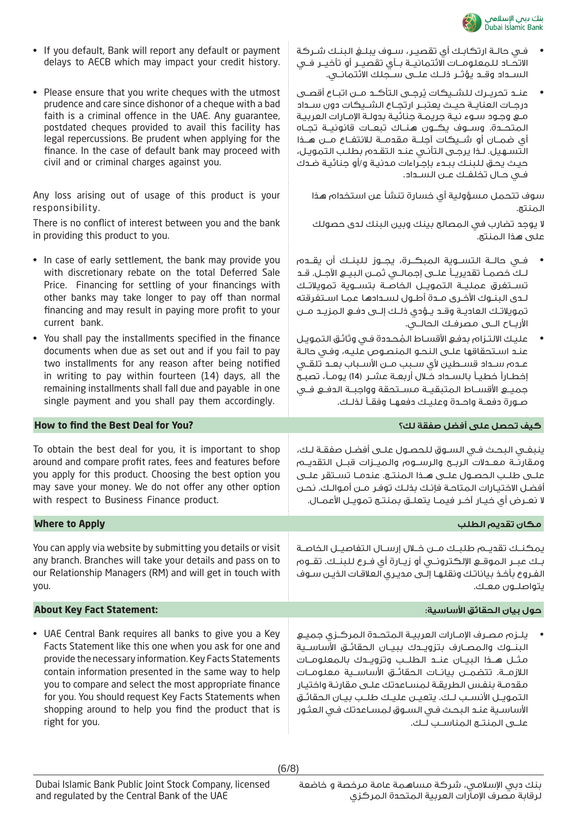

•

- فـي حالـة ارتكابـك أي تقصيـر، سـوف يبلـغ البنـك شـركة االتحــاد للمعلومــات االئتمانيــة بــأي تقصيــر أو تأخيــر فــي الســداد وقــد يؤثــر ذلــك علــى ســجلك االئتمانــي.
- عنــد تحريــرك لـلشــيكات يُرجــى التأكــد مــن اتبــاع أقصــى درجــات العنايــة حيــث يعتبــر ارتجــاع الشــيكات دون ســداد مـع وجـود سـوء نيـة جريمـة جنائيـة بدولـة اإلمـارات العربيـة المتحــدة. وســوف يكــون هنــاك تبعــات قانونيــة تجــاه أي ضمــان أو شــيكات آجلــة مقدمــة لالنتفــاع مــن هــذا التسـهيل. لـذا يرجـى التأنـي عنـد التقـدم بطلـب التمويـل، حيـث يحـق للبنـك ببـدء بإجـراءات مدنيـة و/أو جنائيـة ضـدك فــي حــال تخلفــك عــن الســداد.

سوف تتحمل مسؤولية أي خسارة تنشأ عن استخدام هذا المنتج.

ال يوجد تضارب في المصالح بينك وبين البنك لدى حصولك على هذا المنتج.

- Any loss arising out of usage of this product is your responsibility. There is no conflict of interest between you and the bank in providing this product to you. • In case of early settlement, the bank may provide you with discretionary rebate on the total Deferred Sale Price. Financing for settling of your financings with other banks may take longer to pay off than normal financing and may result in paying more profit to your current bank. • You shall pay the installments specified in the finance documents when due as set out and if you fail to pay two installments for any reason after being notified in writing to pay within fourteen (14) days, all the remaining installments shall fall due and payable in one single payment and you shall pay them accordingly. • فــي حالــة التســوية المبكــرة، يجــوز للبنــك أن يقــدم لــك خصمــا تقديريــا علــى إجمالــي ثمــن البيــع اآلجــل. قــد تســتغرق عمليــة التمويــل الخاصــة بتســوية تمويالتــك لـدى البنـوك األخـرى مـدة أطـول لسـدادها عمـا اسـتغرقته تمويالتــك العاديــة وقــد يــؤدي ذلــك إلــى دفــع المزيــد مــن األربــاح الــى مصرفــك الحالــي. عليـك الالتـزام بدفـع الأقسـاط الـمُحـددة فـي وثائـق الـتمويـل عنـد اسـتحقاقها علـى النحـو المنصـوص عليـه، وفـي حالـة عــدم ســداد قســطين ألي ســبب مــن األســباب بعــد تلقــي إخطـاراً خطيـاً بالسـداد خـلال أربعــة عشــر (14) يومــاً، تصبــح جميــع األقســاط المتبقيــة مســتحقة وواجبــة الدفــع فــي صــورة دفعــة واحــدة وعليــك دفعهــا وفقــا لذلــك. **How to find the Best Deal for You? لك؟ صفقة أفضل على تحصل كيف** To obtain the best deal for you, it is important to shop around and compare profit rates, fees and features before you apply for this product. Choosing the best option you may save your money. We do not offer any other option with respect to Business Finance product. ينبغـي البحـث فـي السـوق للحصـول علـى أفضـل صفقـة لـك، ومقارنــة معــدالت الربــح والرســوم والميــزات قبــل التقديــم علــى طلــب الحصــول علــى هــذا المنتــج. عندمــا تســتقر علــى أفضـل االختيـارات المتاحـة فإنـك بذلـك توفـر مـن أموالـك. نحـن ال نعــرض أي خيــار آخــر فيمــا يتعلــق بمنتــج تمويــل األعمــال. **مكان تقديم الطلب Apply to Where** You can apply via website by submitting you details or visit any branch. Branches will take your details and pass on to our Relationship Managers (RM) and will get in touch with you. يمكنــك تقديــم طلبــك مــن خــال إرســال التفاصيــل الخاصــة بــك عبــر الموقــع اإللكترونــي أو زيــارة أي فــرع للبنــك. تقــوم الفـروع بأخـذ بياناتـك ونقلهـا إلـى مديـري العالقـات الذيـن سـوف يتواصلــون معــك. **حول بيان الحقائق األساسية: :Statement Fact Key About** • يلــزم مصــرف اإلمــارات العربيــة المتحــدة المركــزي جميــع
- UAE Central Bank requires all banks to give you a Key Facts Statement like this one when you ask for one and provide the necessary information. Key Facts Statements contain information presented in the same way to help you to compare and select the most appropriate finance for you. You should request Key Facts Statements when shopping around to help you find the product that is right for you.

• If you default, Bank will report any default or payment delays to AECB which may impact your credit history.

• Please ensure that you write cheques with the utmost prudence and care since dishonor of a cheque with a bad faith is a criminal offence in the UAE. Any guarantee, postdated cheques provided to avail this facility has legal repercussions. Be prudent when applying for the finance. In the case of default bank may proceed with

civil and or criminal charges against you.

البنــوك والمصــارف بتزويــدك ببيــان الـحقائــق الأساســية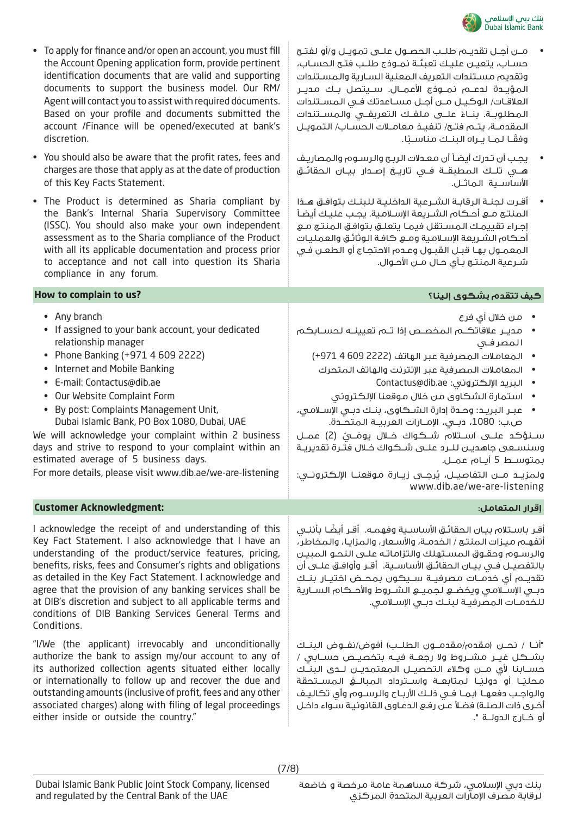

| مــن أجــل تقديــم طلــب الـحصــول علـــى تمويــل و/أو لـفتــح |  |
|----------------------------------------------------------------|--|
| حسـاب، يتعيـن عليـك تعبئـة نمـوذج طلـب فتـح الحسـاب،           |  |
| وتقديم مستندات التعريف المعنية السارية والمستندات              |  |
| المؤيــدة لـدعـــم نمـــوذج الأعمـــال. ســـيتصل بــك مـديــر  |  |
| العلاقات/ الوكيـل مـن أجـل مسـاعدتك فـى المسـتندات             |  |
| المطلوبـة. بنـاءً علــى ملفـك التعريفـى والمســتندات           |  |
| المقدمـة، يتـم فتـح/ تنفيـذ معامـلات الحسـاب/ التمويـل         |  |
| وفقًـا لمـا يـراه البنـك مناسـبًا.                             |  |
|                                                                |  |

- يجـب أن تـدرك أيضـا أن معـدالت الربـح والرسـوم والمصاريـف هــي تلــك المطبقــة فــي تاريــخ إصــدار بيــان الحقائــق األساســية الماثــل.
- أقـرت لجنـة الرقابـة الشـرعية الداخليـة للبنـك بتوافـق هـذا المنتـج مـع أحـكام الشـريعة اإلسـامية. يجـب عليـك أيضـا إجـراء تقييمـك المسـتقل فيمـا يتعلـق بتوافـق المنتـج مـع أحـكام الشـريعة اإلسـامية ومـع كافـة الوثائـق والعمليـات المعمـول بهـا قبـل القبـول وعـدم االحتجـاج أو الطعـن فـي شـرعية المنتـج بـأي حـال مـن األحـوال.

# • To apply for finance and/or open an account, you must fill the Account Opening application form, provide pertinent identification documents that are valid and supporting documents to support the business model. Our RM/ Agent will contact you to assist with required documents. Based on your profile and documents submitted the account /Finance will be opened/executed at bank's discretion.

- You should also be aware that the profit rates, fees and charges are those that apply as at the date of production of this Key Facts Statement.
- The Product is determined as Sharia compliant by the Bank's Internal Sharia Supervisory Committee (ISSC). You should also make your own independent assessment as to the Sharia compliance of the Product with all its applicable documentation and process prior to acceptance and not call into question its Sharia compliance in any forum.

# **How to complain to us? إلينا؟ بشكوى تتقدم كيف**

| • Any branch<br>If assigned to your bank account, your dedicated<br>relationship manager<br>Phone Banking (+971 4 609 2222)<br>Internet and Mobile Banking<br>E-mail: Contactus@dib.ae<br>Our Website Complaint Form<br>By post: Complaints Management Unit,<br>Dubai Islamic Bank, PO Box 1080, Dubai, UAE<br>We will acknowledge your complaint within 2 business<br>days and strive to respond to your complaint within an<br>estimated average of 5 business days.<br>For more details, please visit www.dib.ae/we-are-listening | • من خلال أي فرع<br>• مديـر علاقاتكــــم الـمخصــص إذا تــــم تعيينـــه لـحســـابكــم<br>المصرفى<br>• المعاملات المصرفية عبر الهاتف (2222 609 4 971+)<br>• المعاملات المصرفية عبر الإنترنت والهاتف المتحرك<br>• البريد الإلكتروني: Contactus@dib.ae<br>• استمارة الشكاوي من خلال موقعنا الإلكتروني<br>• عبر البريـد: وحـدة إدارة الشـكاوى، بنـك دبـى الإسـلامـى،<br>ص.ب: 1080، دبـي، الإمــارات العربيــة المتحــدة.<br>سـنـؤكـد علـــى اســتلام شــكـواك خــلال يومَـــيْ (2) عمــل<br>وسنسـعى جاهديـن للــرد علــى شــكواك خــلال فتـرة تقديريـة<br>بمتوســط 5 أيــام عمــل.<br>ولمزيـد مـــن التفاصيـــل، يُرجـــى زيــارة مـوقعنــا الإلـكـترونــي:<br>www.dib.ae/we-are-listening |
|--------------------------------------------------------------------------------------------------------------------------------------------------------------------------------------------------------------------------------------------------------------------------------------------------------------------------------------------------------------------------------------------------------------------------------------------------------------------------------------------------------------------------------------|----------------------------------------------------------------------------------------------------------------------------------------------------------------------------------------------------------------------------------------------------------------------------------------------------------------------------------------------------------------------------------------------------------------------------------------------------------------------------------------------------------------------------------------------------------------------------------------------------------------------------------------------------------------------------------------|
| <b>Customer Acknowledgment:</b>                                                                                                                                                                                                                                                                                                                                                                                                                                                                                                      | إقرار المتعامل:                                                                                                                                                                                                                                                                                                                                                                                                                                                                                                                                                                                                                                                                        |
| I acknowledge the receipt of and understanding of this<br>Key Fact Statement. I also acknowledge that I have an<br>understanding of the product/service features, pricing,<br>benefits, risks, fees and Consumer's rights and obligations<br>as detailed in the Key Fact Statement. I acknowledge and<br>agree that the provision of any banking services shall be<br>at DIB's discretion and subject to all applicable terms and<br>conditions of DIB Banking Services General Terms and<br>Conditions.                             | أقـر باسـتلام بيـان الـحقائـق الأساسـية وفهـمـه.  أقـر أيضًا بأننــى<br>أتفهـم ميـزات المنتـج / الخدمـة، والأسـعار ، والمزايـا ، والمخاطر ،<br>والرسـوم وحقـوق المسـتهلك والتزاماتـه علـى النحـو المبيـن<br>بالتفصيـل فـي بيـان الحقائـق الأساسـية.  أقـر وأوافـق علــى أن<br>تقديــم أي خدمــات مـصرفيــة ســـيكـون بـمـحــض اخـتيــار بنـــك<br>دبـى الإســلامـى ويخضــع لـجميــع الـشــروط والأحــكام الـســارية<br>للخدمـات المصرفيـة لبنـك دبـى الإسـلامـى.                                                                                                                                                                                                                       |
| "I/We (the applicant) irrevocably and unconditionally<br>authorize the bank to assign my/our account to any of<br>its authorized collection agents situated either locally<br>or internationally to follow up and recover the due and<br>outstanding amounts (inclusive of profit, fees and any other                                                                                                                                                                                                                                | "أنـا / نحـــن (مـقدهـ/مـقدمـــون الـطـلــب) أفوض/نفــوض الـبنــك<br>بشــكـل غيــر مشــروط ولا رجعــة فيــه بتخصيــص حســابى /<br>حســابنا لأي مـــن وكـلاء الـتحصيـــل الـمعتمديـــن لـــدى الـبنـــك<br>محليًـا أو دوليًـا لمتابعــة واســترداد المبالـــغ الـمســتحقة<br>والواجب دفعهـا (بمـا فـى ذلـك الأربـاح والرســوم وأى تكاليـف                                                                                                                                                                                                                                                                                                                                               |

associated charges) along with filing of legal proceedings

either inside or outside the country."

أخـرى ذات الصلـة) فضلاً عـن رفـع الدعـاوى القانونيـة سـواء داخـل

أو خــارج الدولــة ".